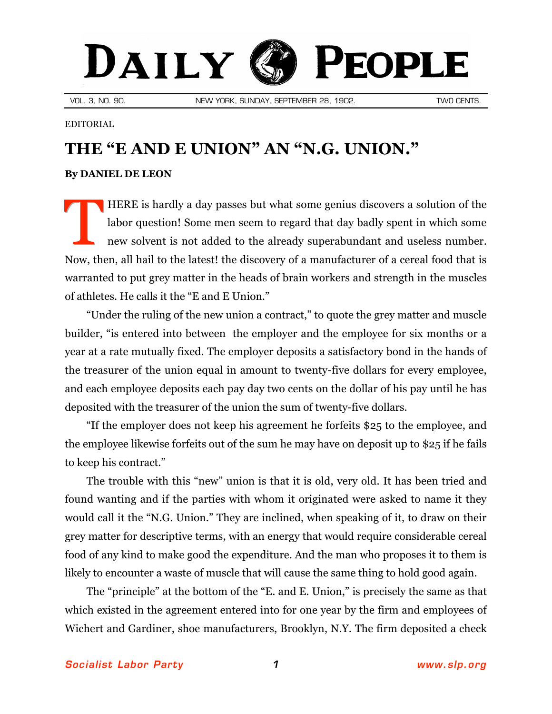## DAILY PEOPLE

VOL. 3, NO. 90. NEW YORK, SUNDAY, SEPTEMBER 28, 1902. TWO CENTS.

EDITORIAL

## **THE "E AND E UNION" AN "N.G. UNION."**

## **By [DANIEL DE LEON](http://slp.org/De_Leon.htm)**

HERE is hardly a day passes but what some genius discovers a solution of the labor question! Some men seem to regard that day badly spent in which some new solvent is not added to the already superabundant and useless number. Now, then, all hail to the latest! the discovery of a manufacturer of a cereal food that is warranted to put grey matter in the heads of brain workers and strength in the muscles of athletes. He calls it the "E and E Union." T

"Under the ruling of the new union a contract," to quote the grey matter and muscle builder, "is entered into between the employer and the employee for six months or a year at a rate mutually fixed. The employer deposits a satisfactory bond in the hands of the treasurer of the union equal in amount to twenty-five dollars for every employee, and each employee deposits each pay day two cents on the dollar of his pay until he has deposited with the treasurer of the union the sum of twenty-five dollars.

"If the employer does not keep his agreement he forfeits \$25 to the employee, and the employee likewise forfeits out of the sum he may have on deposit up to \$25 if he fails to keep his contract."

The trouble with this "new" union is that it is old, very old. It has been tried and found wanting and if the parties with whom it originated were asked to name it they would call it the "N.G. Union." They are inclined, when speaking of it, to draw on their grey matter for descriptive terms, with an energy that would require considerable cereal food of any kind to make good the expenditure. And the man who proposes it to them is likely to encounter a waste of muscle that will cause the same thing to hold good again.

The "principle" at the bottom of the "E. and E. Union," is precisely the same as that which existed in the agreement entered into for one year by the firm and employees of Wichert and Gardiner, shoe manufacturers, Brooklyn, N.Y. The firm deposited a check